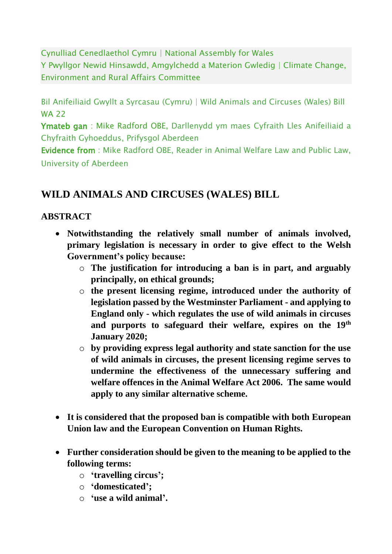Cynulliad Cenedlaethol Cymru | National Assembly for Wales Y Pwyllgor Newid Hinsawdd, Amgylchedd a Materion Gwledig | Climate Change, Environment and Rural Affairs Committee

Bil Anifeiliaid Gwyllt a Syrcasau (Cymru) | Wild Animals and Circuses (Wales) Bill WA 22

Ymateb gan : Mike Radford OBE, Darllenydd ym maes Cyfraith Lles Anifeiliaid a Chyfraith Gyhoeddus, Prifysgol Aberdeen

Evidence from : Mike Radford OBE, Reader in Animal Welfare Law and Public Law, University of Aberdeen

# **WILD ANIMALS AND CIRCUSES (WALES) BILL**

# **ABSTRACT**

- **Notwithstanding the relatively small number of animals involved, primary legislation is necessary in order to give effect to the Welsh Government's policy because:**
	- o **The justification for introducing a ban is in part, and arguably principally, on ethical grounds;**
	- o **the present licensing regime, introduced under the authority of legislation passed by the Westminster Parliament - and applying to England only - which regulates the use of wild animals in circuses and purports to safeguard their welfare, expires on the 19th January 2020;**
	- o **by providing express legal authority and state sanction for the use of wild animals in circuses, the present licensing regime serves to undermine the effectiveness of the unnecessary suffering and welfare offences in the Animal Welfare Act 2006. The same would apply to any similar alternative scheme.**
- **It is considered that the proposed ban is compatible with both European Union law and the European Convention on Human Rights.**
- **Further consideration should be given to the meaning to be applied to the following terms:**
	- o **'travelling circus';**
	- o **'domesticated';**
	- o **'use a wild animal'.**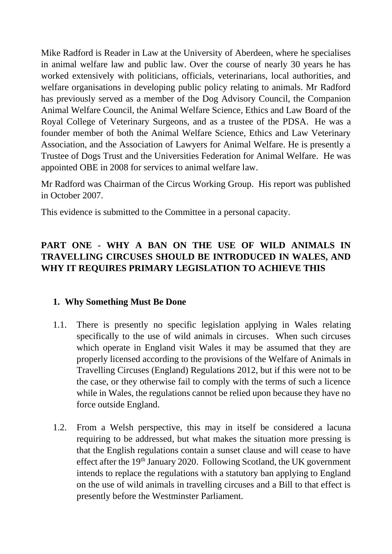Mike Radford is Reader in Law at the University of Aberdeen, where he specialises in animal welfare law and public law. Over the course of nearly 30 years he has worked extensively with politicians, officials, veterinarians, local authorities, and welfare organisations in developing public policy relating to animals. Mr Radford has previously served as a member of the Dog Advisory Council, the Companion Animal Welfare Council, the Animal Welfare Science, Ethics and Law Board of the Royal College of Veterinary Surgeons, and as a trustee of the PDSA. He was a founder member of both the Animal Welfare Science, Ethics and Law Veterinary Association, and the Association of Lawyers for Animal Welfare. He is presently a Trustee of Dogs Trust and the Universities Federation for Animal Welfare. He was appointed OBE in 2008 for services to animal welfare law.

Mr Radford was Chairman of the Circus Working Group. His report was published in October 2007.

This evidence is submitted to the Committee in a personal capacity.

# **PART ONE - WHY A BAN ON THE USE OF WILD ANIMALS IN TRAVELLING CIRCUSES SHOULD BE INTRODUCED IN WALES, AND WHY IT REQUIRES PRIMARY LEGISLATION TO ACHIEVE THIS**

### **1. Why Something Must Be Done**

- 1.1. There is presently no specific legislation applying in Wales relating specifically to the use of wild animals in circuses. When such circuses which operate in England visit Wales it may be assumed that they are properly licensed according to the provisions of the Welfare of Animals in Travelling Circuses (England) Regulations 2012, but if this were not to be the case, or they otherwise fail to comply with the terms of such a licence while in Wales, the regulations cannot be relied upon because they have no force outside England.
- 1.2. From a Welsh perspective, this may in itself be considered a lacuna requiring to be addressed, but what makes the situation more pressing is that the English regulations contain a sunset clause and will cease to have effect after the 19<sup>th</sup> January 2020. Following Scotland, the UK government intends to replace the regulations with a statutory ban applying to England on the use of wild animals in travelling circuses and a Bill to that effect is presently before the Westminster Parliament.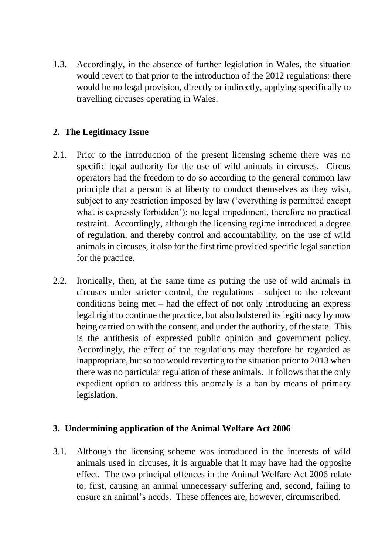1.3. Accordingly, in the absence of further legislation in Wales, the situation would revert to that prior to the introduction of the 2012 regulations: there would be no legal provision, directly or indirectly, applying specifically to travelling circuses operating in Wales.

### **2. The Legitimacy Issue**

- 2.1. Prior to the introduction of the present licensing scheme there was no specific legal authority for the use of wild animals in circuses. Circus operators had the freedom to do so according to the general common law principle that a person is at liberty to conduct themselves as they wish, subject to any restriction imposed by law ('everything is permitted except what is expressly forbidden'): no legal impediment, therefore no practical restraint. Accordingly, although the licensing regime introduced a degree of regulation, and thereby control and accountability, on the use of wild animals in circuses, it also for the first time provided specific legal sanction for the practice.
- 2.2. Ironically, then, at the same time as putting the use of wild animals in circuses under stricter control, the regulations - subject to the relevant conditions being met – had the effect of not only introducing an express legal right to continue the practice, but also bolstered its legitimacy by now being carried on with the consent, and under the authority, of the state. This is the antithesis of expressed public opinion and government policy. Accordingly, the effect of the regulations may therefore be regarded as inappropriate, but so too would reverting to the situation prior to 2013 when there was no particular regulation of these animals. It follows that the only expedient option to address this anomaly is a ban by means of primary legislation.

#### **3. Undermining application of the Animal Welfare Act 2006**

3.1. Although the licensing scheme was introduced in the interests of wild animals used in circuses, it is arguable that it may have had the opposite effect. The two principal offences in the Animal Welfare Act 2006 relate to, first, causing an animal unnecessary suffering and, second, failing to ensure an animal's needs. These offences are, however, circumscribed.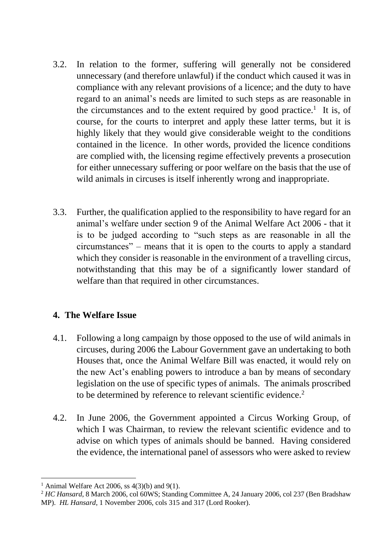- 3.2. In relation to the former, suffering will generally not be considered unnecessary (and therefore unlawful) if the conduct which caused it was in compliance with any relevant provisions of a licence; and the duty to have regard to an animal's needs are limited to such steps as are reasonable in the circumstances and to the extent required by good practice.<sup>1</sup> It is, of course, for the courts to interpret and apply these latter terms, but it is highly likely that they would give considerable weight to the conditions contained in the licence. In other words, provided the licence conditions are complied with, the licensing regime effectively prevents a prosecution for either unnecessary suffering or poor welfare on the basis that the use of wild animals in circuses is itself inherently wrong and inappropriate.
- 3.3. Further, the qualification applied to the responsibility to have regard for an animal's welfare under section 9 of the Animal Welfare Act 2006 - that it is to be judged according to "such steps as are reasonable in all the circumstances" – means that it is open to the courts to apply a standard which they consider is reasonable in the environment of a travelling circus, notwithstanding that this may be of a significantly lower standard of welfare than that required in other circumstances.

### **4. The Welfare Issue**

- 4.1. Following a long campaign by those opposed to the use of wild animals in circuses, during 2006 the Labour Government gave an undertaking to both Houses that, once the Animal Welfare Bill was enacted, it would rely on the new Act's enabling powers to introduce a ban by means of secondary legislation on the use of specific types of animals. The animals proscribed to be determined by reference to relevant scientific evidence.<sup>2</sup>
- 4.2. In June 2006, the Government appointed a Circus Working Group, of which I was Chairman, to review the relevant scientific evidence and to advise on which types of animals should be banned. Having considered the evidence, the international panel of assessors who were asked to review

<sup>&</sup>lt;sup>1</sup> Animal Welfare Act 2006, ss  $4(3)(b)$  and  $9(1)$ .

<sup>2</sup> *HC Hansard*, 8 March 2006, col 60WS; Standing Committee A, 24 January 2006, col 237 (Ben Bradshaw MP). *HL Hansard*, 1 November 2006, cols 315 and 317 (Lord Rooker).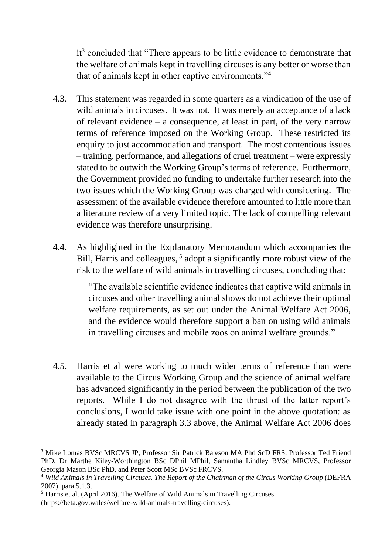it<sup>3</sup> concluded that "There appears to be little evidence to demonstrate that the welfare of animals kept in travelling circuses is any better or worse than that of animals kept in other captive environments."<sup>4</sup>

- 4.3. This statement was regarded in some quarters as a vindication of the use of wild animals in circuses. It was not. It was merely an acceptance of a lack of relevant evidence – a consequence, at least in part, of the very narrow terms of reference imposed on the Working Group. These restricted its enquiry to just accommodation and transport. The most contentious issues – training, performance, and allegations of cruel treatment – were expressly stated to be outwith the Working Group's terms of reference. Furthermore, the Government provided no funding to undertake further research into the two issues which the Working Group was charged with considering. The assessment of the available evidence therefore amounted to little more than a literature review of a very limited topic. The lack of compelling relevant evidence was therefore unsurprising.
- 4.4. As highlighted in the Explanatory Memorandum which accompanies the Bill, Harris and colleagues,<sup>5</sup> adopt a significantly more robust view of the risk to the welfare of wild animals in travelling circuses, concluding that:

"The available scientific evidence indicates that captive wild animals in circuses and other travelling animal shows do not achieve their optimal welfare requirements, as set out under the Animal Welfare Act 2006, and the evidence would therefore support a ban on using wild animals in travelling circuses and mobile zoos on animal welfare grounds."

4.5. Harris et al were working to much wider terms of reference than were available to the Circus Working Group and the science of animal welfare has advanced significantly in the period between the publication of the two reports. While I do not disagree with the thrust of the latter report's conclusions, I would take issue with one point in the above quotation: as already stated in paragraph 3.3 above, the Animal Welfare Act 2006 does

<sup>3</sup> Mike Lomas BVSc MRCVS JP, Professor Sir Patrick Bateson MA Phd ScD FRS, Professor Ted Friend PhD, Dr Marthe Kiley-Worthington BSc DPhil MPhil, Samantha Lindley BVSc MRCVS, Professor Georgia Mason BSc PhD, and Peter Scott MSc BVSc FRCVS.

<sup>4</sup> *Wild Animals in Travelling Circuses. The Report of the Chairman of the Circus Working Group* (DEFRA 2007), para 5.1.3.

<sup>&</sup>lt;sup>5</sup> Harris et al. (April 2016). The Welfare of Wild Animals in Travelling Circuses (https://beta.gov.wales/welfare-wild-animals-travelling-circuses).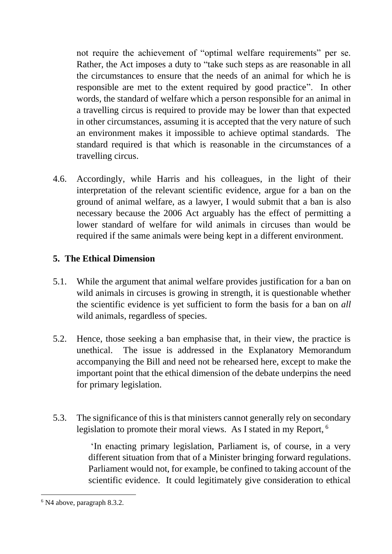not require the achievement of "optimal welfare requirements" per se. Rather, the Act imposes a duty to "take such steps as are reasonable in all the circumstances to ensure that the needs of an animal for which he is responsible are met to the extent required by good practice". In other words, the standard of welfare which a person responsible for an animal in a travelling circus is required to provide may be lower than that expected in other circumstances, assuming it is accepted that the very nature of such an environment makes it impossible to achieve optimal standards. The standard required is that which is reasonable in the circumstances of a travelling circus.

4.6. Accordingly, while Harris and his colleagues, in the light of their interpretation of the relevant scientific evidence, argue for a ban on the ground of animal welfare, as a lawyer, I would submit that a ban is also necessary because the 2006 Act arguably has the effect of permitting a lower standard of welfare for wild animals in circuses than would be required if the same animals were being kept in a different environment.

### **5. The Ethical Dimension**

- 5.1. While the argument that animal welfare provides justification for a ban on wild animals in circuses is growing in strength, it is questionable whether the scientific evidence is yet sufficient to form the basis for a ban on *all*  wild animals, regardless of species.
- 5.2. Hence, those seeking a ban emphasise that, in their view, the practice is unethical. The issue is addressed in the Explanatory Memorandum accompanying the Bill and need not be rehearsed here, except to make the important point that the ethical dimension of the debate underpins the need for primary legislation.
- 5.3. The significance of this is that ministers cannot generally rely on secondary legislation to promote their moral views. As I stated in my Report, <sup>6</sup>

'In enacting primary legislation, Parliament is, of course, in a very different situation from that of a Minister bringing forward regulations. Parliament would not, for example, be confined to taking account of the scientific evidence. It could legitimately give consideration to ethical

<sup>6</sup> N4 above, paragraph 8.3.2.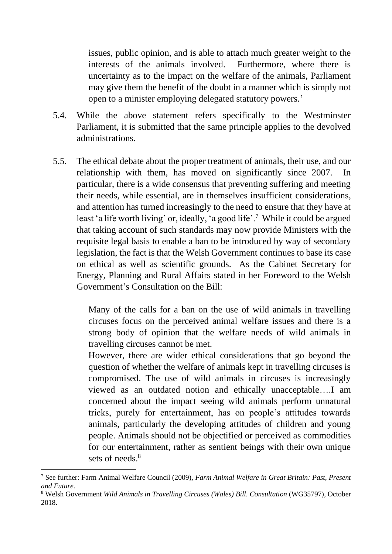issues, public opinion, and is able to attach much greater weight to the interests of the animals involved. Furthermore, where there is uncertainty as to the impact on the welfare of the animals, Parliament may give them the benefit of the doubt in a manner which is simply not open to a minister employing delegated statutory powers.'

- 5.4. While the above statement refers specifically to the Westminster Parliament, it is submitted that the same principle applies to the devolved administrations.
- 5.5. The ethical debate about the proper treatment of animals, their use, and our relationship with them, has moved on significantly since 2007. In particular, there is a wide consensus that preventing suffering and meeting their needs, while essential, are in themselves insufficient considerations, and attention has turned increasingly to the need to ensure that they have at least 'a life worth living' or, ideally, 'a good life'.<sup>7</sup> While it could be argued that taking account of such standards may now provide Ministers with the requisite legal basis to enable a ban to be introduced by way of secondary legislation, the fact is that the Welsh Government continues to base its case on ethical as well as scientific grounds. As the Cabinet Secretary for Energy, Planning and Rural Affairs stated in her Foreword to the Welsh Government's Consultation on the Bill:

Many of the calls for a ban on the use of wild animals in travelling circuses focus on the perceived animal welfare issues and there is a strong body of opinion that the welfare needs of wild animals in travelling circuses cannot be met.

However, there are wider ethical considerations that go beyond the question of whether the welfare of animals kept in travelling circuses is compromised. The use of wild animals in circuses is increasingly viewed as an outdated notion and ethically unacceptable….I am concerned about the impact seeing wild animals perform unnatural tricks, purely for entertainment, has on people's attitudes towards animals, particularly the developing attitudes of children and young people. Animals should not be objectified or perceived as commodities for our entertainment, rather as sentient beings with their own unique sets of needs $8$ 

<sup>7</sup> See further: Farm Animal Welfare Council (2009), *Farm Animal Welfare in Great Britain: Past, Present and Future.*

<sup>8</sup> Welsh Government *Wild Animals in Travelling Circuses (Wales) Bill. Consultation* (WG35797), October 2018.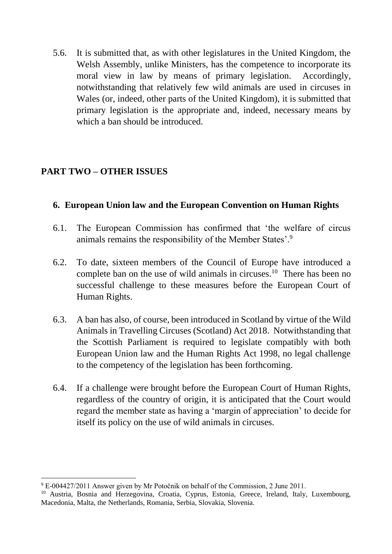5.6. It is submitted that, as with other legislatures in the United Kingdom, the Welsh Assembly, unlike Ministers, has the competence to incorporate its moral view in law by means of primary legislation. Accordingly, notwithstanding that relatively few wild animals are used in circuses in Wales (or, indeed, other parts of the United Kingdom), it is submitted that primary legislation is the appropriate and, indeed, necessary means by which a ban should be introduced.

# **PART TWO – OTHER ISSUES**

# **6. European Union law and the European Convention on Human Rights**

- 6.1. The European Commission has confirmed that 'the welfare of circus animals remains the responsibility of the Member States'.<sup>9</sup>
- 6.2. To date, sixteen members of the Council of Europe have introduced a complete ban on the use of wild animals in circuses.<sup>10</sup> There has been no successful challenge to these measures before the European Court of Human Rights.
- 6.3. A ban has also, of course, been introduced in Scotland by virtue of the Wild Animals in Travelling Circuses (Scotland) Act 2018. Notwithstanding that the Scottish Parliament is required to legislate compatibly with both European Union law and the Human Rights Act 1998, no legal challenge to the competency of the legislation has been forthcoming.
- 6.4. If a challenge were brought before the European Court of Human Rights, regardless of the country of origin, it is anticipated that the Court would regard the member state as having a 'margin of appreciation' to decide for itself its policy on the use of wild animals in circuses.

<sup>9</sup> E-004427/2011 Answer given by Mr Potočnik on behalf of the Commission, 2 June 2011.

<sup>&</sup>lt;sup>10</sup> Austria, Bosnia and Herzegovina, Croatia, Cyprus, Estonia, Greece, Ireland, Italy, Luxembourg, Macedonia, Malta, the Netherlands, Romania, Serbia, Slovakia, Slovenia.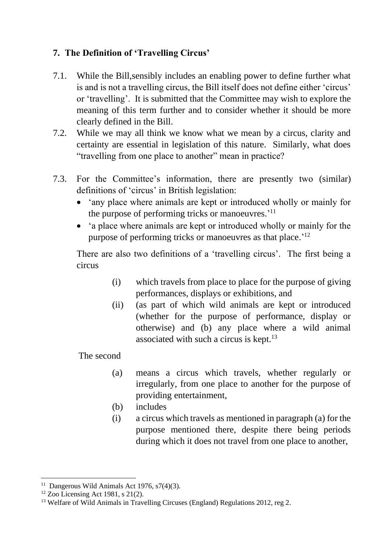# **7. The Definition of 'Travelling Circus'**

- 7.1. While the Bill,sensibly includes an enabling power to define further what is and is not a travelling circus, the Bill itself does not define either 'circus' or 'travelling'. It is submitted that the Committee may wish to explore the meaning of this term further and to consider whether it should be more clearly defined in the Bill.
- 7.2. While we may all think we know what we mean by a circus, clarity and certainty are essential in legislation of this nature. Similarly, what does "travelling from one place to another" mean in practice?
- 7.3. For the Committee's information, there are presently two (similar) definitions of 'circus' in British legislation:
	- 'any place where animals are kept or introduced wholly or mainly for the purpose of performing tricks or manoeuvres.<sup>'11</sup>
	- 'a place where animals are kept or introduced wholly or mainly for the purpose of performing tricks or manoeuvres as that place.<sup>'12</sup>

There are also two definitions of a 'travelling circus'. The first being a circus

- (i) which travels from place to place for the purpose of giving performances, displays or exhibitions, and
- (ii) (as part of which wild animals are kept or introduced (whether for the purpose of performance, display or otherwise) and (b) any place where a wild animal associated with such a circus is kept. $^{13}$

The second

- (a) means a circus which travels, whether regularly or irregularly, from one place to another for the purpose of providing entertainment,
- (b) includes
- (i) a circus which travels as mentioned in paragraph (a) for the purpose mentioned there, despite there being periods during which it does not travel from one place to another,

<sup>&</sup>lt;sup>11</sup> Dangerous Wild Animals Act 1976, s7(4)(3).

 $12$  Zoo Licensing Act 1981, s 21(2).

<sup>&</sup>lt;sup>13</sup> Welfare of Wild Animals in Travelling Circuses (England) Regulations 2012, reg 2.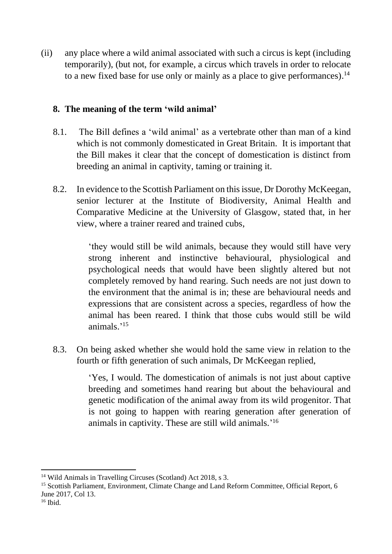(ii) any place where a wild animal associated with such a circus is kept (including temporarily), (but not, for example, a circus which travels in order to relocate to a new fixed base for use only or mainly as a place to give performances).<sup>14</sup>

#### **8. The meaning of the term 'wild animal'**

- 8.1. The Bill defines a 'wild animal' as a vertebrate other than man of a kind which is not commonly domesticated in Great Britain. It is important that the Bill makes it clear that the concept of domestication is distinct from breeding an animal in captivity, taming or training it.
- 8.2. In evidence to the Scottish Parliament on this issue, Dr Dorothy McKeegan, senior lecturer at the Institute of Biodiversity, Animal Health and Comparative Medicine at the University of Glasgow, stated that, in her view, where a trainer reared and trained cubs,

'they would still be wild animals, because they would still have very strong inherent and instinctive behavioural, physiological and psychological needs that would have been slightly altered but not completely removed by hand rearing. Such needs are not just down to the environment that the animal is in; these are behavioural needs and expressions that are consistent across a species, regardless of how the animal has been reared. I think that those cubs would still be wild animals.' 15

8.3. On being asked whether she would hold the same view in relation to the fourth or fifth generation of such animals, Dr McKeegan replied,

> 'Yes, I would. The domestication of animals is not just about captive breeding and sometimes hand rearing but about the behavioural and genetic modification of the animal away from its wild progenitor. That is not going to happen with rearing generation after generation of animals in captivity. These are still wild animals.' 16

<sup>&</sup>lt;sup>14</sup> Wild Animals in Travelling Circuses (Scotland) Act 2018, s 3.

<sup>&</sup>lt;sup>15</sup> Scottish Parliament, Environment, Climate Change and Land Reform Committee, Official Report, 6 June 2017, Col 13.